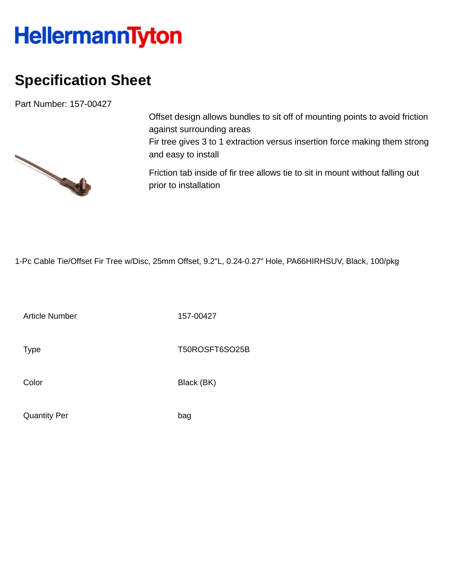## HellermannTyton

## **Specification Sheet**

Part Number: 157-00427



Offset design allows bundles to sit off of mounting points to avoid friction against surrounding areas Fir tree gives 3 to 1 extraction versus insertion force making them strong and easy to install

Friction tab inside of fir tree allows tie to sit in mount without falling out prior to installation

1-Pc Cable Tie/Offset Fir Tree w/Disc, 25mm Offset, 9.2"L, 0.24-0.27" Hole, PA66HIRHSUV, Black, 100/pkg

Article Number 157-00427

Type Type T50ROSFT6SO25B

Color Black (BK)

Quantity Per bag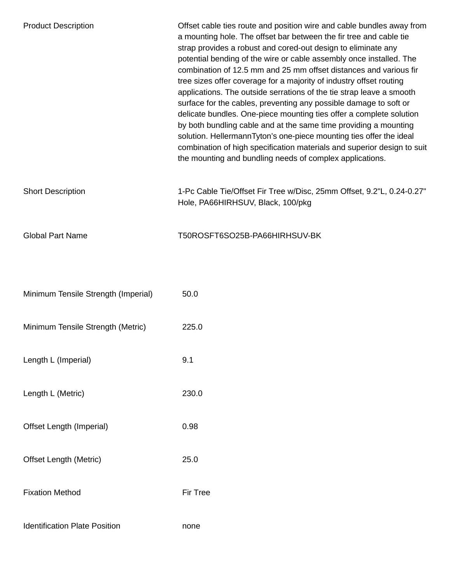| <b>Product Description</b>           | Offset cable ties route and position wire and cable bundles away from<br>a mounting hole. The offset bar between the fir tree and cable tie<br>strap provides a robust and cored-out design to eliminate any<br>potential bending of the wire or cable assembly once installed. The<br>combination of 12.5 mm and 25 mm offset distances and various fir<br>tree sizes offer coverage for a majority of industry offset routing<br>applications. The outside serrations of the tie strap leave a smooth<br>surface for the cables, preventing any possible damage to soft or<br>delicate bundles. One-piece mounting ties offer a complete solution<br>by both bundling cable and at the same time providing a mounting<br>solution. HellermannTyton's one-piece mounting ties offer the ideal<br>combination of high specification materials and superior design to suit<br>the mounting and bundling needs of complex applications. |
|--------------------------------------|---------------------------------------------------------------------------------------------------------------------------------------------------------------------------------------------------------------------------------------------------------------------------------------------------------------------------------------------------------------------------------------------------------------------------------------------------------------------------------------------------------------------------------------------------------------------------------------------------------------------------------------------------------------------------------------------------------------------------------------------------------------------------------------------------------------------------------------------------------------------------------------------------------------------------------------|
| <b>Short Description</b>             | 1-Pc Cable Tie/Offset Fir Tree w/Disc, 25mm Offset, 9.2"L, 0.24-0.27"<br>Hole, PA66HIRHSUV, Black, 100/pkg                                                                                                                                                                                                                                                                                                                                                                                                                                                                                                                                                                                                                                                                                                                                                                                                                            |
| <b>Global Part Name</b>              | T50ROSFT6SO25B-PA66HIRHSUV-BK                                                                                                                                                                                                                                                                                                                                                                                                                                                                                                                                                                                                                                                                                                                                                                                                                                                                                                         |
| Minimum Tensile Strength (Imperial)  | 50.0                                                                                                                                                                                                                                                                                                                                                                                                                                                                                                                                                                                                                                                                                                                                                                                                                                                                                                                                  |
| Minimum Tensile Strength (Metric)    | 225.0                                                                                                                                                                                                                                                                                                                                                                                                                                                                                                                                                                                                                                                                                                                                                                                                                                                                                                                                 |
| Length L (Imperial)                  | 9.1                                                                                                                                                                                                                                                                                                                                                                                                                                                                                                                                                                                                                                                                                                                                                                                                                                                                                                                                   |
| Length L (Metric)                    | 230.0                                                                                                                                                                                                                                                                                                                                                                                                                                                                                                                                                                                                                                                                                                                                                                                                                                                                                                                                 |
| Offset Length (Imperial)             | 0.98                                                                                                                                                                                                                                                                                                                                                                                                                                                                                                                                                                                                                                                                                                                                                                                                                                                                                                                                  |
| <b>Offset Length (Metric)</b>        | 25.0                                                                                                                                                                                                                                                                                                                                                                                                                                                                                                                                                                                                                                                                                                                                                                                                                                                                                                                                  |
| <b>Fixation Method</b>               | Fir Tree                                                                                                                                                                                                                                                                                                                                                                                                                                                                                                                                                                                                                                                                                                                                                                                                                                                                                                                              |
| <b>Identification Plate Position</b> | none                                                                                                                                                                                                                                                                                                                                                                                                                                                                                                                                                                                                                                                                                                                                                                                                                                                                                                                                  |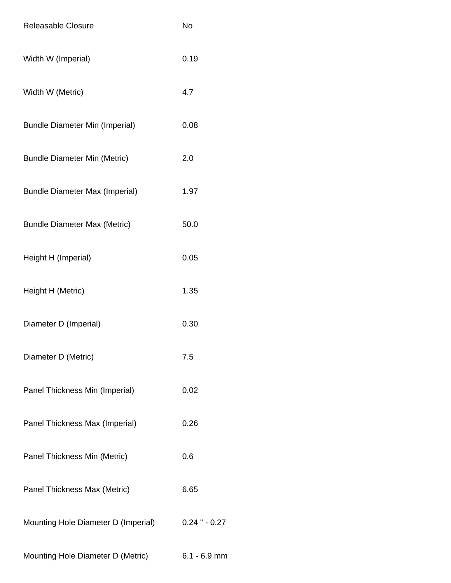| <b>Releasable Closure</b>             | <b>No</b>        |
|---------------------------------------|------------------|
| Width W (Imperial)                    | 0.19             |
| Width W (Metric)                      | 4.7              |
| <b>Bundle Diameter Min (Imperial)</b> | 0.08             |
| <b>Bundle Diameter Min (Metric)</b>   | 2.0              |
| <b>Bundle Diameter Max (Imperial)</b> | 1.97             |
| <b>Bundle Diameter Max (Metric)</b>   | 50.0             |
| Height H (Imperial)                   | 0.05             |
| Height H (Metric)                     | 1.35             |
| Diameter D (Imperial)                 | 0.30             |
| Diameter D (Metric)                   | 7.5              |
| Panel Thickness Min (Imperial)        | 0.02             |
| Panel Thickness Max (Imperial)        | 0.26             |
| Panel Thickness Min (Metric)          | 0.6              |
| Panel Thickness Max (Metric)          | 6.65             |
| Mounting Hole Diameter D (Imperial)   | $0.24$ " $-0.27$ |
| Mounting Hole Diameter D (Metric)     | $6.1 - 6.9$ mm   |